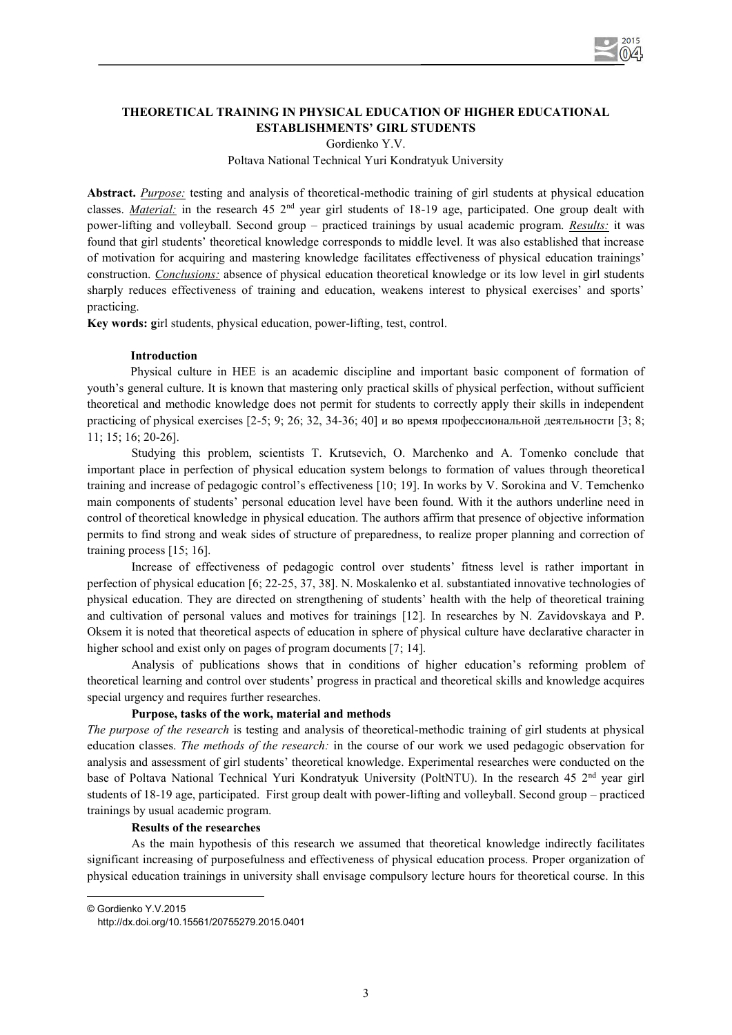

# **THEORETICAL TRAINING IN PHYSICAL EDUCATION OF HIGHER EDUCATIONAL ESTABLISHMENTS' GIRL STUDENTS**

Gordienko Y.V.

Poltava National Technical Yuri Kondratyuk University

**Abstract.** *Purpose:* testing and analysis of theoretical-methodic training of girl students at physical education classes. *Material:* in the research 45 2<sup>nd</sup> year girl students of 18-19 age, participated. One group dealt with power-lifting and volleyball. Second group – practiced trainings by usual academic program. *Results:* it was found that girl students' theoretical knowledge corresponds to middle level. It was also established that increase of motivation for acquiring and mastering knowledge facilitates effectiveness of physical education trainings' construction. *Conclusions:* absence of physical education theoretical knowledge or its low level in girl students sharply reduces effectiveness of training and education, weakens interest to physical exercises' and sports' practicing.

**Key words: g**irl students, physical education, power-lifting, test, control.

### **Introduction**

Physical culture in HEE is an academic discipline and important basic component of formation of youth's general culture. It is known that mastering only practical skills of physical perfection, without sufficient theoretical and methodic knowledge does not permit for students to correctly apply their skills in independent practicing of physical exercises  $[2-5; 9; 26; 32, 34-36; 40]$  и во время профессиональной деятельности  $[3; 8;$ 11; 15; 16; 20-26].

Studying this problem, scientists T. Krutsevich, O. Marchenko and A. Tomenko conclude that important place in perfection of physical education system belongs to formation of values through theoretical training and increase of pedagogic control's effectiveness [10; 19]. In works by V. Sorokina and V. Temchenko main components of students' personal education level have been found. With it the authors underline need in control of theoretical knowledge in physical education. The authors affirm that presence of objective information permits to find strong and weak sides of structure of preparedness, to realize proper planning and correction of training process [15; 16].

Increase of effectiveness of pedagogic control over students' fitness level is rather important in perfection of physical education [6; 22-25, 37, 38]. N. Moskalenko et al. substantiated innovative technologies of physical education. They are directed on strengthening of students' health with the help of theoretical training and cultivation of personal values and motives for trainings [12]. In researches by N. Zavidovskaya and P. Oksem it is noted that theoretical aspects of education in sphere of physical culture have declarative character in higher school and exist only on pages of program documents [7; 14].

Analysis of publications shows that in conditions of higher education's reforming problem of theoretical learning and control over students' progress in practical and theoretical skills and knowledge acquires special urgency and requires further researches.

## **Purpose, tasks of the work, material and methods**

*The purpose of the research* is testing and analysis of theoretical-methodic training of girl students at physical education classes. *The methods of the research:* in the course of our work we used pedagogic observation for analysis and assessment of girl students' theoretical knowledge. Experimental researches were conducted on the base of Poltava National Technical Yuri Kondratyuk University (PoltNTU). In the research 45 2<sup>nd</sup> year girl students of 18-19 age, participated. First group dealt with power-lifting and volleyball. Second group – practiced trainings by usual academic program.

#### **Results of the researches**

As the main hypothesis of this research we assumed that theoretical knowledge indirectly facilitates significant increasing of purposefulness and effectiveness of physical education process. Proper organization of physical education trainings in university shall envisage compulsory lecture hours for theoretical course. In this

© Gordienko Y.V.2015

 $\overline{\phantom{a}}$ 

http://dx.doi.org/10.15561/20755279.2015.0401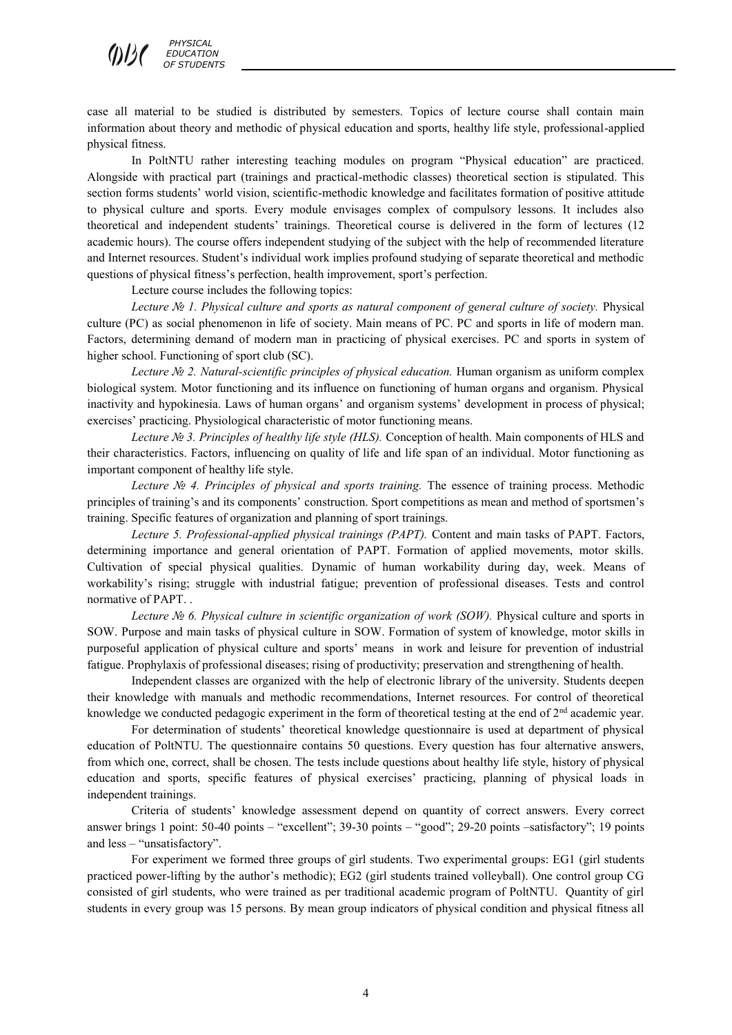case all material to be studied is distributed by semesters. Topics of lecture course shall contain main information about theory and methodic of physical education and sports, healthy life style, professional-applied physical fitness.

In PoltNTU rather interesting teaching modules on program "Physical education" are practiced. Alongside with practical part (trainings and practical-methodic classes) theoretical section is stipulated. This section forms students' world vision, scientific-methodic knowledge and facilitates formation of positive attitude to physical culture and sports. Every module envisages complex of compulsory lessons. It includes also theoretical and independent students' trainings. Theoretical course is delivered in the form of lectures (12 academic hours). The course offers independent studying of the subject with the help of recommended literature and Internet resources. Student's individual work implies profound studying of separate theoretical and methodic questions of physical fitness's perfection, health improvement, sport's perfection.

Lecture course includes the following topics:

*Lecture № 1. Physical culture and sports as natural component of general culture of society.* Physical culture (PC) as social phenomenon in life of society. Main means of PC. PC and sports in life of modern man. Factors, determining demand of modern man in practicing of physical exercises. PC and sports in system of higher school. Functioning of sport club (SC).

*Lecture № 2. Natural-scientific principles of physical education.* Human organism as uniform complex biological system. Motor functioning and its influence on functioning of human organs and organism. Physical inactivity and hypokinesia. Laws of human organs' and organism systems' development in process of physical; exercises' practicing. Physiological characteristic of motor functioning means.

*Lecture № 3. Principles of healthy life style (HLS).* Conception of health. Main components of HLS and their characteristics. Factors, influencing on quality of life and life span of an individual. Motor functioning as important component of healthy life style.

*Lecture № 4. Principles of physical and sports training.* The essence of training process. Methodic principles of training's and its components' construction. Sport competitions as mean and method of sportsmen's training. Specific features of organization and planning of sport trainings.

*Lecture 5. Professional-applied physical trainings (PAPT).* Content and main tasks of PAPT. Factors, determining importance and general orientation of PAPT. Formation of applied movements, motor skills. Cultivation of special physical qualities. Dynamic of human workability during day, week. Means of workability's rising; struggle with industrial fatigue; prevention of professional diseases. Tests and control normative of PAPT. .

*Lecture № 6. Physical culture in scientific organization of work (SOW). Physical culture and sports in* SOW. Purpose and main tasks of physical culture in SOW. Formation of system of knowledge, motor skills in purposeful application of physical culture and sports' means in work and leisure for prevention of industrial fatigue. Prophylaxis of professional diseases; rising of productivity; preservation and strengthening of health.

Independent classes are organized with the help of electronic library of the university. Students deepen their knowledge with manuals and methodic recommendations, Internet resources. For control of theoretical knowledge we conducted pedagogic experiment in the form of theoretical testing at the end of 2nd academic year.

For determination of students' theoretical knowledge questionnaire is used at department of physical education of PoltNTU. The questionnaire contains 50 questions. Every question has four alternative answers, from which one, correct, shall be chosen. The tests include questions about healthy life style, history of physical education and sports, specific features of physical exercises' practicing, planning of physical loads in independent trainings.

Criteria of students' knowledge assessment depend on quantity of correct answers. Every correct answer brings 1 point: 50-40 points – "excellent"; 39-30 points – "good"; 29-20 points –satisfactory"; 19 points and less – "unsatisfactory".

For experiment we formed three groups of girl students. Two experimental groups: EG1 (girl students practiced power-lifting by the author's methodic); EG2 (girl students trained volleyball). One control group CG consisted of girl students, who were trained as per traditional academic program of PoltNTU. Quantity of girl students in every group was 15 persons. By mean group indicators of physical condition and physical fitness all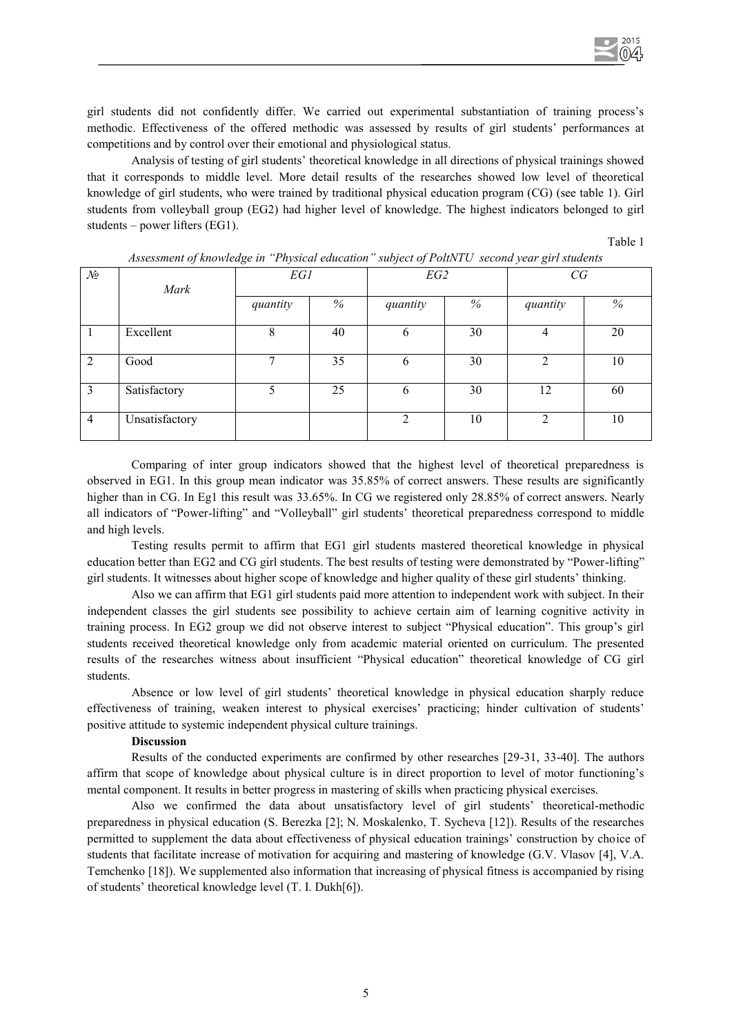girl students did not confidently differ. We carried out experimental substantiation of training process's methodic. Effectiveness of the offered methodic was assessed by results of girl students' performances at competitions and by control over their emotional and physiological status.

Analysis of testing of girl students' theoretical knowledge in all directions of physical trainings showed that it corresponds to middle level. More detail results of the researches showed low level of theoretical knowledge of girl students, who were trained by traditional physical education program (CG) (see table 1). Girl students from volleyball group (EG2) had higher level of knowledge. The highest indicators belonged to girl students – power lifters (EG1).

Table 1

| Assessment of knowledge in Thysical education Subject of Follivi O second year girl students |                |          |    |          |    |                |      |
|----------------------------------------------------------------------------------------------|----------------|----------|----|----------|----|----------------|------|
| $\mathcal{N}\!\varrho$                                                                       | Mark           | EG1      |    | EG2      |    | CG             |      |
|                                                                                              |                | quantity | %  | quantity | %  | quantity       | $\%$ |
|                                                                                              | Excellent      | 8        | 40 | 6        | 30 | 4              | 20   |
| $\overline{2}$                                                                               | Good           | 7        | 35 | 6        | 30 | ∍              | 10   |
| 3                                                                                            | Satisfactory   |          | 25 | 6        | 30 | 12             | 60   |
| 4                                                                                            | Unsatisfactory |          |    | 2        | 10 | $\mathfrak{D}$ | 10   |

*Assessment of knowledge in "Physical education" subject of PoltNTU second year girl students* 

Comparing of inter group indicators showed that the highest level of theoretical preparedness is observed in EG1. In this group mean indicator was 35.85% of correct answers. These results are significantly higher than in CG. In Eg1 this result was  $33.65\%$ . In CG we registered only 28.85% of correct answers. Nearly all indicators of "Power-lifting" and "Volleyball" girl students' theoretical preparedness correspond to middle and high levels.

Testing results permit to affirm that EG1 girl students mastered theoretical knowledge in physical education better than EG2 and CG girl students. The best results of testing were demonstrated by "Power-lifting" girl students. It witnesses about higher scope of knowledge and higher quality of these girl students' thinking.

Also we can affirm that EG1 girl students paid more attention to independent work with subject. In their independent classes the girl students see possibility to achieve certain aim of learning cognitive activity in training process. In EG2 group we did not observe interest to subject "Physical education". This group's girl students received theoretical knowledge only from academic material oriented on curriculum. The presented results of the researches witness about insufficient "Physical education" theoretical knowledge of CG girl students.

Absence or low level of girl students' theoretical knowledge in physical education sharply reduce effectiveness of training, weaken interest to physical exercises' practicing; hinder cultivation of students' positive attitude to systemic independent physical culture trainings.

#### **Discussion**

Results of the conducted experiments are confirmed by other researches [29-31, 33-40]. The authors affirm that scope of knowledge about physical culture is in direct proportion to level of motor functioning's mental component. It results in better progress in mastering of skills when practicing physical exercises.

Also we confirmed the data about unsatisfactory level of girl students' theoretical-methodic preparedness in physical education (S. Berezka [2]; N. Moskalenko, T. Sycheva [12]). Results of the researches permitted to supplement the data about effectiveness of physical education trainings' construction by choice of students that facilitate increase of motivation for acquiring and mastering of knowledge (G.V. Vlasov [4], V.A. Temchenko [18]). We supplemented also information that increasing of physical fitness is accompanied by rising of students' theoretical knowledge level (Т. I. Dukh[6]).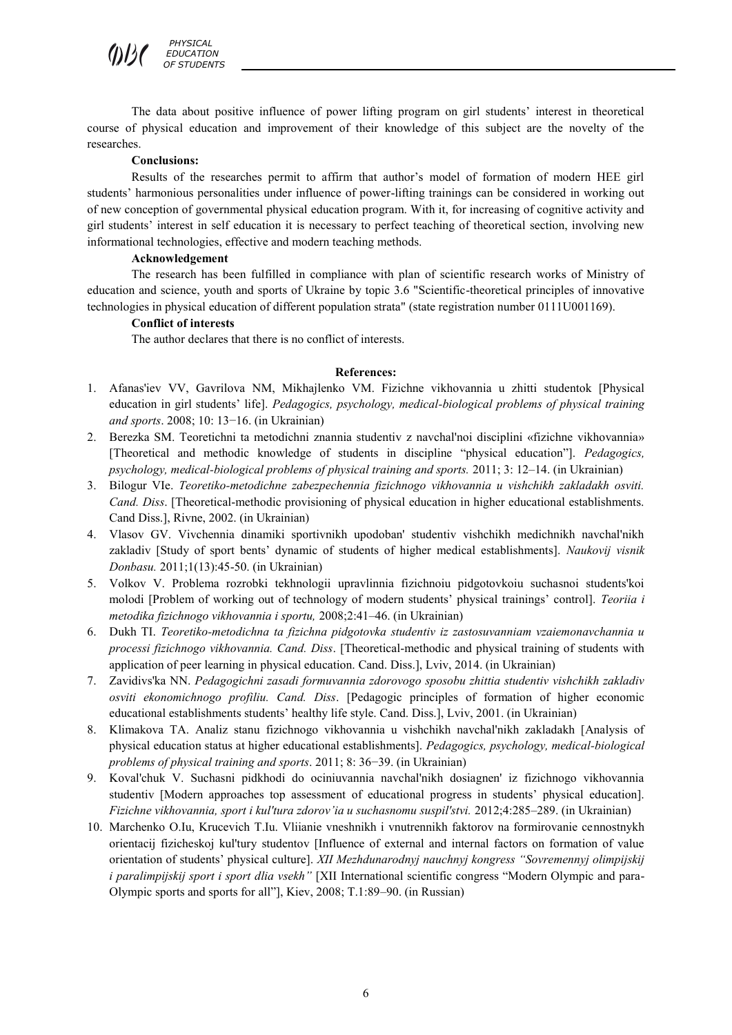The data about positive influence of power lifting program on girl students' interest in theoretical course of physical education and improvement of their knowledge of this subject are the novelty of the researches.

#### **Conclusions:**

Results of the researches permit to affirm that author's model of formation of modern HEE girl students' harmonious personalities under influence of power-lifting trainings can be considered in working out of new conception of governmental physical education program. With it, for increasing of cognitive activity and girl students' interest in self education it is necessary to perfect teaching of theoretical section, involving new informational technologies, effective and modern teaching methods.

### **Acknowledgement**

The research has been fulfilled in compliance with plan of scientific research works of Ministry of education and science, youth and sports of Ukraine by topic 3.6 "Scientific-theoretical principles of innovative technologies in physical education of different population strata" (state registration number 0111U001169).

### **Conflict of interests**

The author declares that there is no conflict of interests.

#### **References:**

- 1. Afanas'iev VV, Gavrilova NM, Mikhajlenko VM. Fizichne vikhovannia u zhitti studentok [Physical education in girl students' life]. *Pedagogics, psychology, medical-biological problems of physical training and sports*. 2008; 10: 13−16. (in Ukrainian)
- 2. Berezka SM. Teoretichni ta metodichni znannia studentiv z navchal'noi disciplini «fizichne vikhovannia» [Theoretical and methodic knowledge of students in discipline "physical education"]. *Pedagogics, psychology, medical-biological problems of physical training and sports.* 2011; 3: 12–14. (in Ukrainian)
- 3. Bilogur VIe. *Teoretiko-metodichne zabezpechennia fizichnogo vikhovannia u vishchikh zakladakh osviti. Cand. Diss*. [Theoretical-methodic provisioning of physical education in higher educational establishments. Cand Diss.], Rivne, 2002. (in Ukrainian)
- 4. Vlasov GV. Vivchennia dinamiki sportivnikh upodoban' studentiv vishchikh medichnikh navchal'nikh zakladiv [Study of sport bents' dynamic of students of higher medical establishments]. *Naukovij visnik Donbasu.* 2011;1(13):45-50. (in Ukrainian)
- 5. Volkov V. Problema rozrobki tekhnologii upravlinnia fizichnoiu pidgotovkoiu suchasnoi students'koi molodi [Problem of working out of technology of modern students' physical trainings' control]. *Teoriia i metodika fizichnogo vikhovannia i sportu,* 2008;2:41–46. (in Ukrainian)
- 6. Dukh TI. *Teoretiko-metodichna ta fizichna pidgotovka studentiv iz zastosuvanniam vzaiemonavchannia u processi fizichnogo vikhovannia. Cand. Diss*. [Theoretical-methodic and physical training of students with application of peer learning in physical education. Cand. Diss.], Lviv, 2014. (in Ukrainian)
- 7. Zavidivs'ka NN. *Pedagogichni zasadi formuvannia zdorovogo sposobu zhittia studentiv vishchikh zakladiv osviti ekonomichnogo profiliu. Cand. Diss*. [Pedagogic principles of formation of higher economic educational establishments students' healthy life style. Cand. Diss.], Lviv, 2001. (in Ukrainian)
- 8. Klimakova TA. Analiz stanu fizichnogo vikhovannia u vishchikh navchal'nikh zakladakh [Analysis of physical education status at higher educational establishments]. *Pedagogics, psychology, medical-biological problems of physical training and sports*. 2011; 8: 36−39. (in Ukrainian)
- 9. Koval'chuk V. Suchasni pidkhodi do ociniuvannia navchal'nikh dosiagnen' iz fizichnogo vikhovannia studentiv [Modern approaches top assessment of educational progress in students' physical education]. *Fizichne vikhovannia, sport i kul'tura zdorov'ia u suchasnomu suspil'stvi.* 2012;4:285–289. (in Ukrainian)
- 10. Marchenko O.Iu, Krucevich T.Iu. Vliianie vneshnikh i vnutrennikh faktorov na formirovanie cennostnykh orientacij fizicheskoj kul'tury studentov [Influence of external and internal factors on formation of value orientation of students' physical culture]. *XII Mezhdunarodnyj nauchnyj kongress "Sovremennyj olimpijskij i paralimpijskij sport i sport dlia vsekh"* [XII International scientific congress "Modern Olympic and para-Olympic sports and sports for all"], Kiev, 2008; T.1:89–90. (in Russian)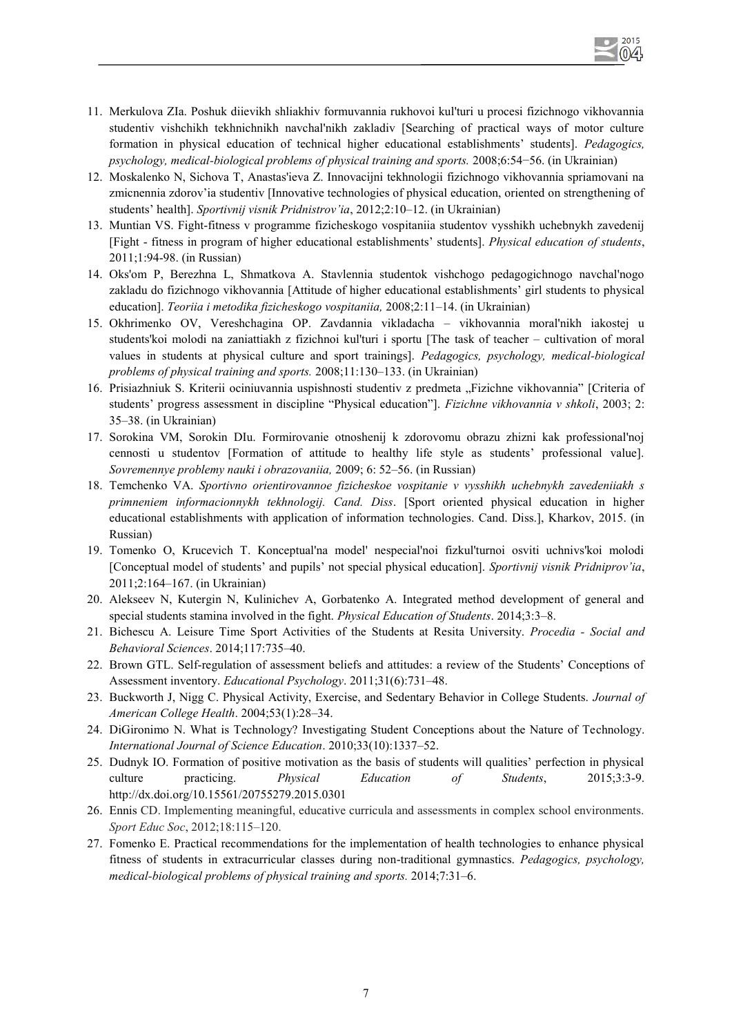- 11. Merkulova ZIa. Poshuk diievikh shliakhiv formuvannia rukhovoi kul'turi u procesi fizichnogo vikhovannia studentiv vishchikh tekhnichnikh navchal'nikh zakladiv [Searching of practical ways of motor culture formation in physical education of technical higher educational establishments' students]. *Pedagogics, psychology, medical-biological problems of physical training and sports.* 2008;6:54−56. (in Ukrainian)
- 12. Moskalenko N, Sichova T, Anastas'ieva Z. Innovacijni tekhnologii fizichnogo vikhovannia spriamovani na zmicnennia zdorov'ia studentiv [Innovative technologies of physical education, oriented on strengthening of students' health]. *Sportivnij visnik Pridnistrov'ia*, 2012;2:10–12. (in Ukrainian)
- 13. Muntian VS. Fight-fitness v programme fizicheskogo vospitaniia studentov vysshikh uchebnykh zavedenij [Fight - fitness in program of higher educational establishments' students]. *Physical education of students*, 2011;1:94-98. (in Russian)
- 14. Oks'om P, Berezhna L, Shmatkova A. Stavlennia studentok vishchogo pedagogichnogo navchal'nogo zakladu do fizichnogo vikhovannia [Attitude of higher educational establishments' girl students to physical education]. *Teoriia i metodika fizicheskogo vospitaniia,* 2008;2:11–14. (in Ukrainian)
- 15. Okhrimenko OV, Vereshchagina OP. Zavdannia vikladacha vikhovannia moral'nikh iakostej u students'koi molodi na zaniattiakh z fizichnoi kul'turi i sportu [The task of teacher – cultivation of moral values in students at physical culture and sport trainings]. *Pedagogics, psychology, medical-biological problems of physical training and sports.* 2008;11:130–133. (in Ukrainian)
- 16. Prisiazhniuk S. Kriterii ociniuvannia uspishnosti studentiv z predmeta "Fizichne vikhovannia" [Criteria of students' progress assessment in discipline "Physical education"]. *Fizichne vikhovannia v shkoli*, 2003; 2: 35–38. (in Ukrainian)
- 17. Sorokina VM, Sorokin DIu. Formirovanie otnoshenij k zdorovomu obrazu zhizni kak professional'noj cennosti u studentov [Formation of attitude to healthy life style as students' professional value]. *Sovremennye problemy nauki i obrazovaniia,* 2009; 6: 52–56. (in Russian)
- 18. Temchenko VA. *Sportivno orientirovannoe fizicheskoe vospitanie v vysshikh uchebnykh zavedeniiakh s primneniem informacionnykh tekhnologij. Cand. Diss*. [Sport oriented physical education in higher educational establishments with application of information technologies. Cand. Diss.], Kharkov, 2015. (in Russian)
- 19. Tomenko O, Krucevich T. Konceptual'na model' nespecial'noi fizkul'turnoi osviti uchnivs'koi molodi [Conceptual model of students' and pupils' not special physical education]. *Sportivnij visnik Pridniprov'ia*, 2011;2:164–167. (in Ukrainian)
- 20. Alekseev N, Kutergin N, Kulinichev A, Gorbatenko A. Integrated method development of general and special students stamina involved in the fight. *Physical Education of Students*. 2014;3:3–8.
- 21. Bichescu A. Leisure Time Sport Activities of the Students at Resita University. *Procedia Social and Behavioral Sciences*. 2014;117:735–40.
- 22. Brown GTL. Self-regulation of assessment beliefs and attitudes: a review of the Students' Conceptions of Assessment inventory. *Educational Psychology*. 2011;31(6):731–48.
- 23. Buckworth J, Nigg C. Physical Activity, Exercise, and Sedentary Behavior in College Students. *Journal of American College Health*. 2004;53(1):28–34.
- 24. DiGironimo N. What is Technology? Investigating Student Conceptions about the Nature of Technology. *International Journal of Science Education*. 2010;33(10):1337–52.
- 25. Dudnyk IO. Formation of positive motivation as the basis of students will qualities' perfection in physical culture practicing. *Physical Education of Students*, 2015;3:3-9. http://dx.doi.org/10.15561/20755279.2015.0301
- 26. Ennis CD. Implementing meaningful, educative curricula and assessments in complex school environments. *Sport Educ Soc*, 2012;18:115–120.
- 27. Fomenko E. Practical recommendations for the implementation of health technologies to enhance physical fitness of students in extracurricular classes during non-traditional gymnastics. *Pedagogics, psychology, medical-biological problems of physical training and sports.* 2014;7:31–6.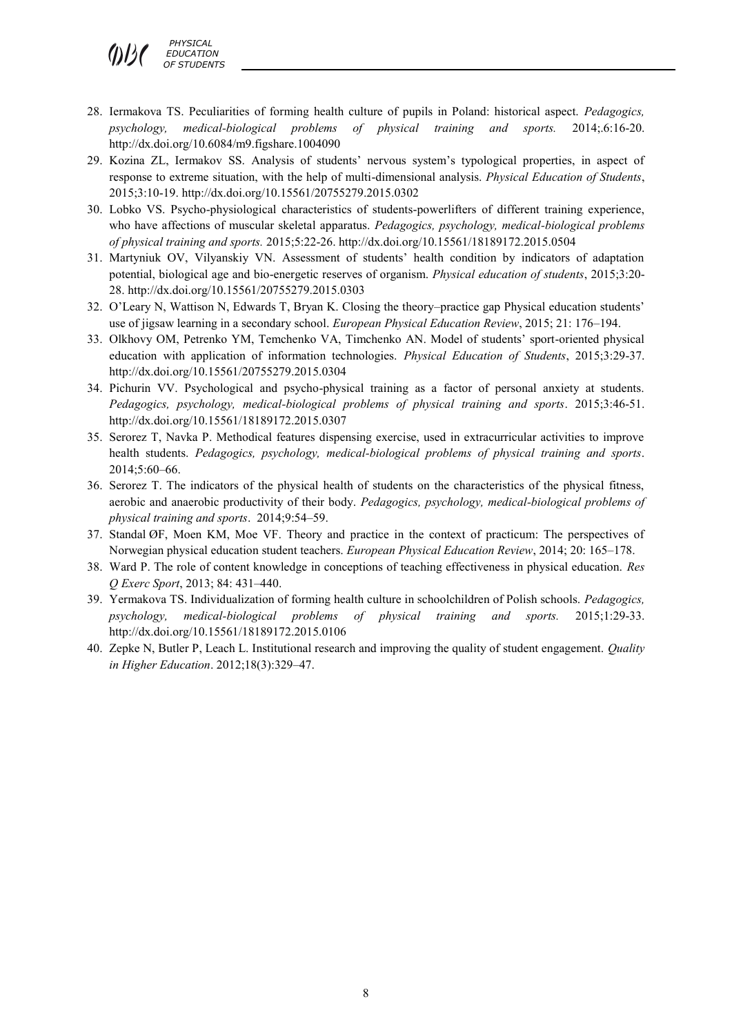*PHYSICAL*   $0/2$  *EDUCATION OF STUDENTS*

- 28. Iermakova TS. Peculiarities of forming health culture of pupils in Poland: historical aspect. *Pedagogics, psychology, medical-biological problems of physical training and sports.* 2014;.6:16-20. http://dx.doi.org/10.6084/m9.figshare.1004090
- 29. Kozina ZL, Iermakov SS. Analysis of students' nervous system's typological properties, in aspect of response to extreme situation, with the help of multi-dimensional analysis. *Physical Education of Students*, 2015;3:10-19. http://dx.doi.org/10.15561/20755279.2015.0302
- 30. Lobko VS. Psycho-physiological characteristics of students-powerlifters of different training experience, who have affections of muscular skeletal apparatus. *Pedagogics, psychology, medical-biological problems of physical training and sports.* 2015;5:22-26. http://dx.doi.org/10.15561/18189172.2015.0504
- 31. Martyniuk OV, Vilyanskiy VN. Assessment of students' health condition by indicators of adaptation potential, biological age and bio-energetic reserves of organism. *Physical education of students*, 2015;3:20- 28. http://dx.doi.org/10.15561/20755279.2015.0303
- 32. O'Leary N, Wattison N, Edwards Т, Bryan K. Closing the theory–practice gap Physical education students' use of jigsaw learning in a secondary school. *European Physical Education Review*, 2015; 21: 176–194.
- 33. Olkhovy OM, Petrenko YM, Temchenko VA, Timchenko AN. Model of students' sport-oriented physical education with application of information technologies. *Physical Education of Students*, 2015;3:29-37. http://dx.doi.org/10.15561/20755279.2015.0304
- 34. Pichurin VV. Psychological and psycho-physical training as a factor of personal anxiety at students. *Pedagogics, psychology, medical-biological problems of physical training and sports*. 2015;3:46-51. http://dx.doi.org/10.15561/18189172.2015.0307
- 35. Serorez T, Navka P. Methodical features dispensing exercise, used in extracurricular activities to improve health students. *Pedagogics, psychology, medical-biological problems of physical training and sports*. 2014;5:60–66.
- 36. Serorez T. The indicators of the physical health of students on the characteristics of the physical fitness, aerobic and anaerobic productivity of their body. *Pedagogics, psychology, medical-biological problems of physical training and sports*. 2014;9:54–59.
- 37. Standal ØF, Moen KM, Moe VF. Theory and practice in the context of practicum: The perspectives of Norwegian physical education student teachers. *European Physical Education Review*, 2014; 20: 165–178.
- 38. Ward P. The role of content knowledge in conceptions of teaching effectiveness in physical education. *Res Q Exerc Sport*, 2013; 84: 431–440.
- 39. Yermakova TS. Individualization of forming health culture in schoolchildren of Polish schools. *Pedagogics, psychology, medical-biological problems of physical training and sports.* 2015;1:29-33. http://dx.doi.org/10.15561/18189172.2015.0106
- 40. Zepke N, Butler P, Leach L. Institutional research and improving the quality of student engagement. *Quality in Higher Education*. 2012;18(3):329–47.